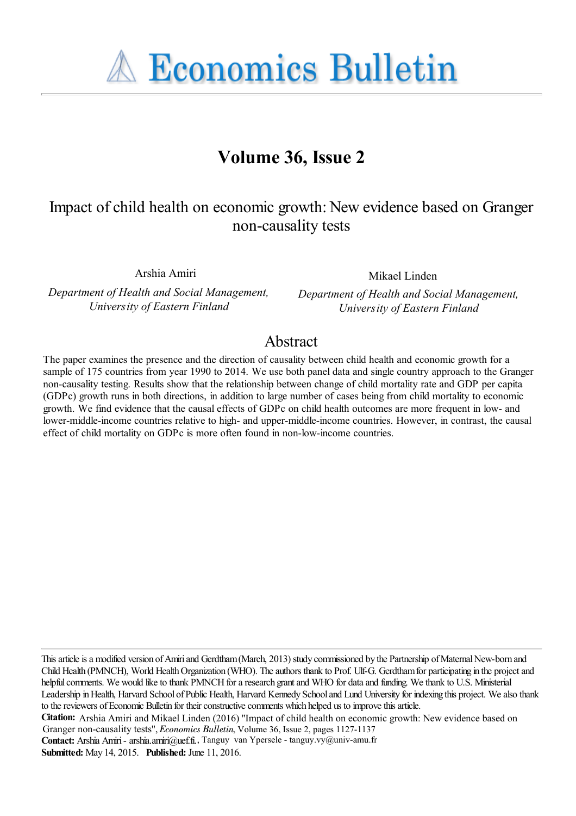**A Economics Bulletin** 

# **Volume 36, Issue 2**

# Impact of child health on economic growth: New evidence based on Granger non-causality tests

Arshia Amiri

*Department of Health and Social Management, University of Eastern Finland*

Mikael Linden

*Department of Health and Social Management, University of Eastern Finland*

# Abstract

The paper examines the presence and the direction of causality between child health and economic growth for a sample of 175 countries from year 1990 to 2014. We use both panel data and single country approach to the Granger non-causality testing. Results show that the relationship between change of child mortality rate and GDP per capita (GDPc) growth runs in both directions, in addition to large number of cases being from child mortality to economic growth. We find evidence that the causal effects of GDPc on child health outcomes are more frequent in low- and lower-middle-income countries relative to high- and upper-middle-income countries. However, in contrast, the causal effect of child mortality on GDPc is more often found in non-low-income countries.

This article is a modified version of Amiri and Gerdtham (March, 2013) study commissioned by the Partnership of Maternal New-born and Child Health (PMNCH), World Health Organization (WHO). The authors thank to Prof. Ulf-G. Gerdtham for participating in the project and helpful comments. We would like to thank PMNCH for a research grant and WHO for data and funding. We thank to U.S. Ministerial Leadership in Health, Harvard School of Public Health, Harvard Kennedy School and Lund University for indexing this project. We also thank to the reviewers of Economic Bulletin for their constructive comments which helped us to improve this article.

**Submitted:** May 14, 2015. **Published:** June 11, 2016.

**Citation:** Arshia Amiri and Mikael Linden (2016) ''Impact of child health on economic growth: New evidence based on Granger non-causality tests'', *Economics Bulletin*, Volume 36, Issue 2, pages 1127-1137 **Contact:** Arshia Amiri - arshia.amiri@uef.fi. , Tanguy van Ypersele - tanguy.vy@univ-amu.fr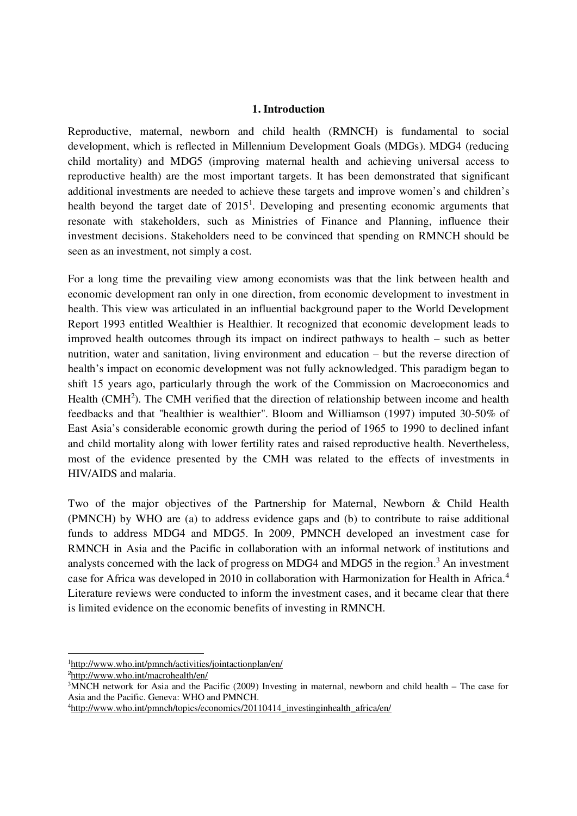### **1. Introduction**

Reproductive, maternal, newborn and child health (RMNCH) is fundamental to social development, which is reflected in Millennium Development Goals (MDGs). MDG4 (reducing child mortality) and MDG5 (improving maternal health and achieving universal access to reproductive health) are the most important targets. It has been demonstrated that significant additional investments are needed to achieve these targets and improve women's and children's health beyond the target date of 2015<sup>1</sup>. Developing and presenting economic arguments that resonate with stakeholders, such as Ministries of Finance and Planning, influence their investment decisions. Stakeholders need to be convinced that spending on RMNCH should be seen as an investment, not simply a cost.

For a long time the prevailing view among economists was that the link between health and economic development ran only in one direction, from economic development to investment in health. This view was articulated in an influential background paper to the World Development Report 1993 entitled Wealthier is Healthier. It recognized that economic development leads to improved health outcomes through its impact on indirect pathways to health – such as better nutrition, water and sanitation, living environment and education – but the reverse direction of health's impact on economic development was not fully acknowledged. This paradigm began to shift 15 years ago, particularly through the work of the Commission on Macroeconomics and Health (CMH<sup>2</sup>). The CMH verified that the direction of relationship between income and health feedbacks and that "healthier is wealthier". Bloom and Williamson (1997) imputed 30-50% of East Asia's considerable economic growth during the period of 1965 to 1990 to declined infant and child mortality along with lower fertility rates and raised reproductive health. Nevertheless, most of the evidence presented by the CMH was related to the effects of investments in HIV/AIDS and malaria.

Two of the major objectives of the Partnership for Maternal, Newborn & Child Health (PMNCH) by WHO are (a) to address evidence gaps and (b) to contribute to raise additional funds to address MDG4 and MDG5. In 2009, PMNCH developed an investment case for RMNCH in Asia and the Pacific in collaboration with an informal network of institutions and analysts concerned with the lack of progress on MDG4 and MDG5 in the region.<sup>3</sup> An investment case for Africa was developed in 2010 in collaboration with Harmonization for Health in Africa.<sup>4</sup> Literature reviews were conducted to inform the investment cases, and it became clear that there is limited evidence on the economic benefits of investing in RMNCH.

<sup>1</sup>http://www.who.int/pmnch/activities/jointactionplan/en/

<sup>2</sup>http://www.who.int/macrohealth/en/

<sup>3</sup>MNCH network for Asia and the Pacific (2009) Investing in maternal, newborn and child health – The case for Asia and the Pacific. Geneva: WHO and PMNCH.

<sup>4</sup>http://www.who.int/pmnch/topics/economics/20110414\_investinginhealth\_africa/en/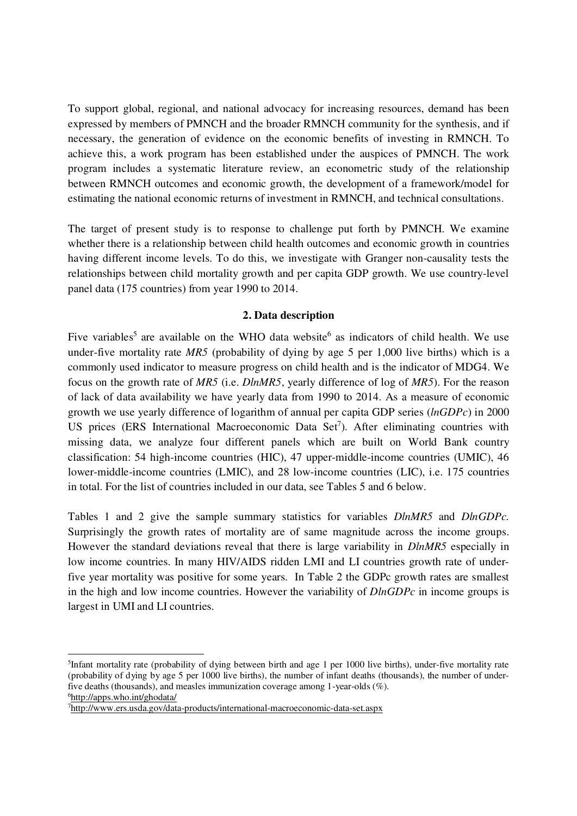To support global, regional, and national advocacy for increasing resources, demand has been expressed by members of PMNCH and the broader RMNCH community for the synthesis, and if necessary, the generation of evidence on the economic benefits of investing in RMNCH. To achieve this, a work program has been established under the auspices of PMNCH. The work program includes a systematic literature review, an econometric study of the relationship between RMNCH outcomes and economic growth, the development of a framework/model for estimating the national economic returns of investment in RMNCH, and technical consultations.

The target of present study is to response to challenge put forth by PMNCH. We examine whether there is a relationship between child health outcomes and economic growth in countries having different income levels. To do this, we investigate with Granger non-causality tests the relationships between child mortality growth and per capita GDP growth. We use country-level panel data (175 countries) from year 1990 to 2014.

### **2. Data description**

Five variables<sup>5</sup> are available on the WHO data website<sup>6</sup> as indicators of child health. We use under-five mortality rate *MR5* (probability of dying by age 5 per 1,000 live births) which is a commonly used indicator to measure progress on child health and is the indicator of MDG4. We focus on the growth rate of *MR5* (i.e. *DlnMR5*, yearly difference of log of *MR5*). For the reason of lack of data availability we have yearly data from 1990 to 2014. As a measure of economic growth we use yearly difference of logarithm of annual per capita GDP series (*lnGDPc*) in 2000 US prices (ERS International Macroeconomic Data Set<sup>7</sup>). After eliminating countries with missing data, we analyze four different panels which are built on World Bank country classification: 54 high-income countries (HIC), 47 upper-middle-income countries (UMIC), 46 lower-middle-income countries (LMIC), and 28 low-income countries (LIC), i.e. 175 countries in total. For the list of countries included in our data, see Tables 5 and 6 below.

Tables 1 and 2 give the sample summary statistics for variables *DlnMR5* and *DlnGDPc.* Surprisingly the growth rates of mortality are of same magnitude across the income groups. However the standard deviations reveal that there is large variability in *DlnMR5* especially in low income countries. In many HIV/AIDS ridden LMI and LI countries growth rate of underfive year mortality was positive for some years. In Table 2 the GDPc growth rates are smallest in the high and low income countries. However the variability of *DlnGDPc* in income groups is largest in UMI and LI countries.

<sup>5</sup> Infant mortality rate (probability of dying between birth and age 1 per 1000 live births), under-five mortality rate (probability of dying by age 5 per 1000 live births), the number of infant deaths (thousands), the number of underfive deaths (thousands), and measles immunization coverage among 1-year-olds (%). <sup>6</sup>http://apps.who.int/ghodata/

<sup>7</sup>http://www.ers.usda.gov/data-products/international-macroeconomic-data-set.aspx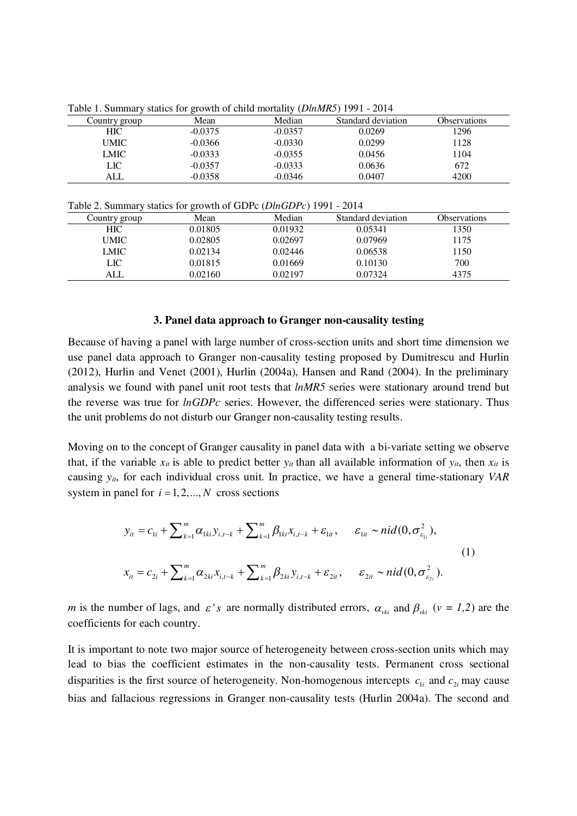| Country group | Mean      | Median    | Standard deviation | <b>Observations</b> |  |  |  |  |
|---------------|-----------|-----------|--------------------|---------------------|--|--|--|--|
| <b>HIC</b>    | $-0.0375$ | $-0.0357$ | 0.0269             | 1296                |  |  |  |  |
| UMIC          | $-0.0366$ | $-0.0330$ | 0.0299             | 1128                |  |  |  |  |
| LMIC          | $-0.0333$ | $-0.0355$ | 0.0456             | 1104                |  |  |  |  |
| LIC-          | $-0.0357$ | $-0.0333$ | 0.0636             | 672                 |  |  |  |  |
| ALL           | $-0.0358$ | $-0.0346$ | 0.0407             | 4200                |  |  |  |  |

Table 1. Summary statics for growth of child mortality (*DlnMR5*) 1991 - 2014

Table 2. Summary statics for growth of GDPc (*DlnGDPc*) 1991 - 2014

|               | ັ       |         |                    |                     |
|---------------|---------|---------|--------------------|---------------------|
| Country group | Mean    | Median  | Standard deviation | <b>Observations</b> |
| HIC           | 0.01805 | 0.01932 | 0.05341            | 1350                |
| <b>UMIC</b>   | 0.02805 | 0.02697 | 0.07969            | 1175                |
| LMIC          | 0.02134 | 0.02446 | 0.06538            | 1150                |
| LIC           | 0.01815 | 0.01669 | 0.10130            | 700                 |
| ALL           | 0.02160 | 0.02197 | 0.07324            | 4375                |

#### **3. Panel data approach to Granger non-causality testing**

Because of having a panel with large number of cross-section units and short time dimension we use panel data approach to Granger non-causality testing proposed by Dumitrescu and Hurlin (2012), Hurlin and Venet (2001), Hurlin (2004a), Hansen and Rand (2004). In the preliminary analysis we found with panel unit root tests that *lnMR5* series were stationary around trend but the reverse was true for *lnGDPc* series. However, the differenced series were stationary. Thus the unit problems do not disturb our Granger non-causality testing results.

Moving on to the concept of Granger causality in panel data with a bi-variate setting we observe that, if the variable  $x_{it}$  is able to predict better  $y_{it}$  than all available information of  $y_{it}$ , then  $x_{it}$  is causing *yit*, for each individual cross unit. In practice, we have a general time-stationary *VAR* system in panel for  $i = 1, 2, \dots, N$  cross sections

$$
y_{it} = c_{1i} + \sum_{k=1}^{m} \alpha_{1ki} y_{i,t-k} + \sum_{k=1}^{m} \beta_{1ki} x_{i,t-k} + \varepsilon_{1it}, \quad \varepsilon_{1it} \sim \frac{mid(0, \sigma_{\varepsilon_{1i}}^2)}{1}
$$
  

$$
x_{it} = c_{2i} + \sum_{k=1}^{m} \alpha_{2ki} x_{i,t-k} + \sum_{k=1}^{m} \beta_{2ki} y_{i,t-k} + \varepsilon_{2it}, \quad \varepsilon_{2it} \sim \frac{mid(0, \sigma_{\varepsilon_{2i}}^2)}{1}
$$

*m* is the number of lags, and  $\varepsilon$ '*s* are normally distributed errors,  $\alpha_{vki}$  and  $\beta_{vki}$  ( $v = 1,2$ ) are the coefficients for each country.

It is important to note two major source of heterogeneity between cross-section units which may lead to bias the coefficient estimates in the non-causality tests. Permanent cross sectional disparities is the first source of heterogeneity. Non-homogenous intercepts  $c_i$  and  $c_j$  may cause bias and fallacious regressions in Granger non-causality tests (Hurlin 2004a). The second and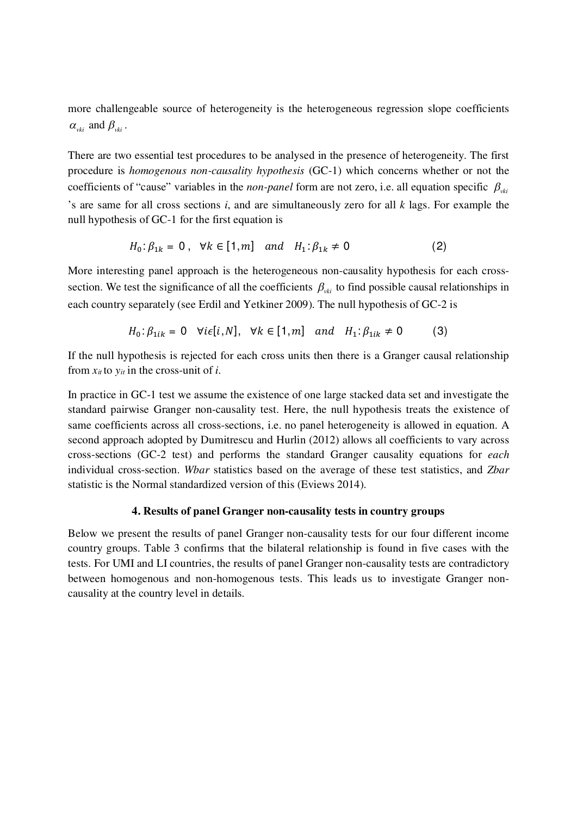more challengeable source of heterogeneity is the heterogeneous regression slope coefficients  $\alpha_{\nu ki}$  and  $\beta_{\nu ki}$ .

There are two essential test procedures to be analysed in the presence of heterogeneity. The first procedure is *homogenous non-causality hypothesis* (GC-1) which concerns whether or not the coefficients of "cause" variables in the *non-panel* form are not zero, i.e. all equation specific  $\beta_{\nu ki}$ 's are same for all cross sections *i*, and are simultaneously zero for all *k* lags. For example the null hypothesis of GC-1 for the first equation is

$$
H_0: \beta_{1k} = 0
$$
,  $\forall k \in [1, m]$  and  $H_1: \beta_{1k} \neq 0$  (2)

More interesting panel approach is the heterogeneous non-causality hypothesis for each crosssection. We test the significance of all the coefficients  $\beta_{\nu ki}$  to find possible causal relationships in each country separately (see Erdil and Yetkiner 2009). The null hypothesis of GC-2 is

$$
H_0: \beta_{1ik} = 0 \quad \forall i \in [i, N], \quad \forall k \in [1, m] \quad and \quad H_1: \beta_{1ik} \neq 0 \tag{3}
$$

If the null hypothesis is rejected for each cross units then there is a Granger causal relationship from  $x_{it}$  to  $y_{it}$  in the cross-unit of *i*.

In practice in GC-1 test we assume the existence of one large stacked data set and investigate the standard pairwise Granger non-causality test. Here, the null hypothesis treats the existence of same coefficients across all cross-sections, i.e. no panel heterogeneity is allowed in equation. A second approach adopted by Dumitrescu and Hurlin (2012) allows all coefficients to vary across cross-sections (GC-2 test) and performs the standard Granger causality equations for *each* individual cross-section. *Wbar* statistics based on the average of these test statistics, and *Zbar* statistic is the Normal standardized version of this (Eviews 2014).

#### **4. Results of panel Granger non-causality tests in country groups**

Below we present the results of panel Granger non-causality tests for our four different income country groups. Table 3 confirms that the bilateral relationship is found in five cases with the tests. For UMI and LI countries, the results of panel Granger non-causality tests are contradictory between homogenous and non-homogenous tests. This leads us to investigate Granger noncausality at the country level in details.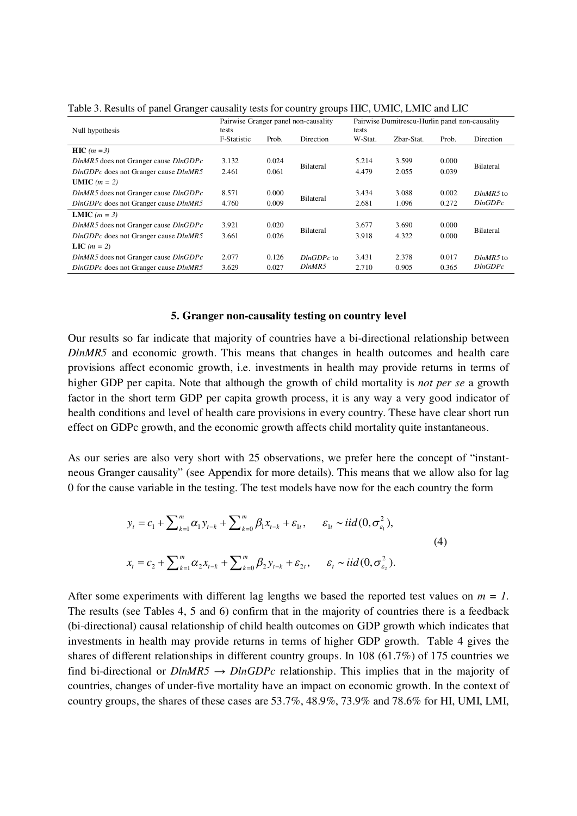|                                                 |             |                    | Pairwise Granger panel non-causality | Pairwise Dumitrescu-Hurlin panel non-causality |            |       |                  |
|-------------------------------------------------|-------------|--------------------|--------------------------------------|------------------------------------------------|------------|-------|------------------|
| Null hypothesis                                 | tests       |                    | tests                                |                                                |            |       |                  |
|                                                 | F-Statistic | Prob.              | Direction                            | W-Stat.                                        | Zbar-Stat. | Prob. | Direction        |
| $HIC$ ( <i>m</i> = 3)                           |             |                    |                                      |                                                |            |       |                  |
| $D \ln MR5$ does not Granger cause $D \ln GDPc$ | 3.132       | 0.024              |                                      | 5.214                                          | 3.599      | 0.000 | <b>Bilateral</b> |
| DlnGDPc does not Granger cause DlnMR5           | 2.461       | Bilateral<br>0.061 |                                      | 4.479                                          | 2.055      | 0.039 |                  |
| <b>UMIC</b> $(m = 2)$                           |             |                    |                                      |                                                |            |       |                  |
| $D \ln MR5$ does not Granger cause $D \ln GDPc$ | 8.571       | 0.000              | Bilateral                            | 3.434                                          | 3.088      | 0.002 | $DlnMR5$ to      |
| DlnGDPc does not Granger cause DlnMR5           | 4.760       | 0.009              |                                      | 2.681                                          | 1.096      | 0.272 | DlnGDPc          |
| <b>LMIC</b> $(m = 3)$                           |             |                    |                                      |                                                |            |       |                  |
| $D \ln MR5$ does not Granger cause $D \ln GDPc$ | 3.921       | 0.020              | Bilateral                            | 3.677                                          | 3.690      | 0.000 | <b>Bilateral</b> |
| DlnGDPc does not Granger cause DlnMR5           | 3.661       | 0.026              |                                      | 3.918                                          | 4.322      | 0.000 |                  |
| LIC $(m = 2)$                                   |             |                    |                                      |                                                |            |       |                  |
| $D \ln MR5$ does not Granger cause $D \ln GDPc$ | 2.077       | 0.126              | $DlnGDPc$ to                         | 3.431                                          | 2.378      | 0.017 | $DlnMR5$ to      |
| DlnGDPc does not Granger cause DlnMR5           | 3.629       | 0.027              | DlnMR5                               | 2.710                                          | 0.905      | 0.365 | DlnGDPc          |

Table 3. Results of panel Granger causality tests for country groups HIC, UMIC, LMIC and LIC

#### **5. Granger non-causality testing on country level**

Our results so far indicate that majority of countries have a bi-directional relationship between *DlnMR5* and economic growth. This means that changes in health outcomes and health care provisions affect economic growth, i.e. investments in health may provide returns in terms of higher GDP per capita. Note that although the growth of child mortality is *not per se* a growth factor in the short term GDP per capita growth process, it is any way a very good indicator of health conditions and level of health care provisions in every country. These have clear short run effect on GDPc growth, and the economic growth affects child mortality quite instantaneous.

As our series are also very short with 25 observations, we prefer here the concept of "instantneous Granger causality" (see Appendix for more details). This means that we allow also for lag 0 for the cause variable in the testing. The test models have now for the each country the form

$$
y_{t} = c_{1} + \sum_{k=1}^{m} \alpha_{1} y_{t-k} + \sum_{k=0}^{m} \beta_{1} x_{t-k} + \varepsilon_{1t}, \quad \varepsilon_{1t} \sim \text{iid}(0, \sigma_{\varepsilon_{1}}^{2}),
$$
  

$$
x_{t} = c_{2} + \sum_{k=1}^{m} \alpha_{2} x_{t-k} + \sum_{k=0}^{m} \beta_{2} y_{t-k} + \varepsilon_{2t}, \quad \varepsilon_{t} \sim \text{iid}(0, \sigma_{\varepsilon_{2}}^{2}).
$$
  
(4)

After some experiments with different lag lengths we based the reported test values on  $m = 1$ . The results (see Tables 4, 5 and 6) confirm that in the majority of countries there is a feedback (bi-directional) causal relationship of child health outcomes on GDP growth which indicates that investments in health may provide returns in terms of higher GDP growth. Table 4 gives the shares of different relationships in different country groups. In 108 (61.7%) of 175 countries we find bi-directional or  $D \ln MRS \rightarrow D \ln GDPc$  relationship. This implies that in the majority of countries, changes of under-five mortality have an impact on economic growth. In the context of country groups, the shares of these cases are 53.7%, 48.9%, 73.9% and 78.6% for HI, UMI, LMI,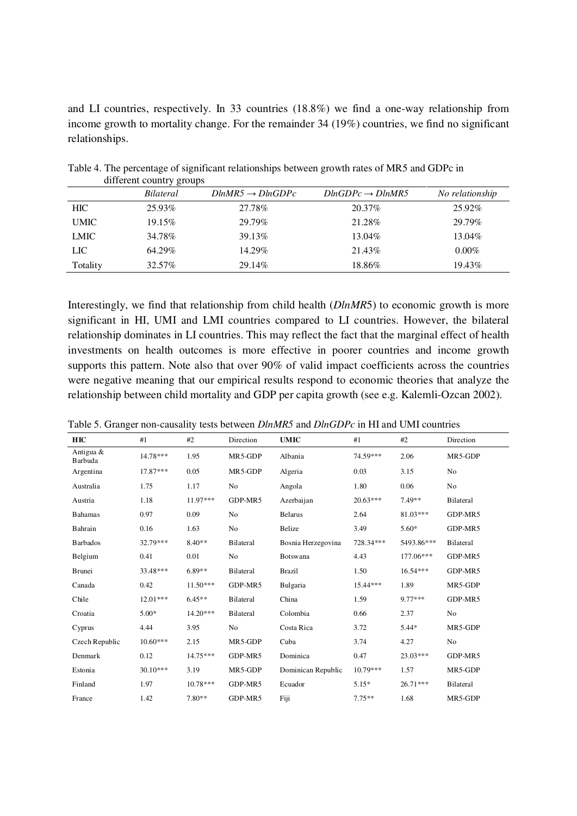and LI countries, respectively. In 33 countries (18.8%) we find a one-way relationship from income growth to mortality change. For the remainder 34 (19%) countries, we find no significant relationships.

|             | <u>. </u><br>Bilateral | $DlnMR5 \rightarrow DlnGDPc$ | $DlnGDPc \rightarrow DlnMR5$ | No relationship |
|-------------|------------------------|------------------------------|------------------------------|-----------------|
| <b>HIC</b>  | 25.93%                 | 27.78%                       | 20.37\%                      | 25.92%          |
| <b>UMIC</b> | 19.15%                 | 29.79%                       | 21.28%                       | 29.79%          |
| <b>LMIC</b> | 34.78%                 | 39.13%                       | 13.04%                       | 13.04%          |
| <b>LIC</b>  | 64.29%                 | 14.29%                       | 21.43\%                      | $0.00\%$        |
| Totality    | 32.57%                 | 29.14%                       | 18.86%                       | 19.43%          |

Table 4. The percentage of significant relationships between growth rates of MR5 and GDPc in different country groups

Interestingly, we find that relationship from child health (*DlnMR*5) to economic growth is more significant in HI, UMI and LMI countries compared to LI countries. However, the bilateral relationship dominates in LI countries. This may reflect the fact that the marginal effect of health investments on health outcomes is more effective in poorer countries and income growth supports this pattern. Note also that over 90% of valid impact coefficients across the countries were negative meaning that our empirical results respond to economic theories that analyze the relationship between child mortality and GDP per capita growth (see e.g. Kalemli-Ozcan 2002).

| Table 5. Granger non-causality tests between <i>DlnMR5</i> and <i>DlnGDPc</i> in HI and UMI countries |  |  |
|-------------------------------------------------------------------------------------------------------|--|--|
|                                                                                                       |  |  |

|                      | $\cdots$   |            |                  |                    |            |            |           |
|----------------------|------------|------------|------------------|--------------------|------------|------------|-----------|
| HIC                  | #1         | #2         | Direction        | <b>UMIC</b>        | #1         | #2         | Direction |
| Antigua &<br>Barbuda | 14.78***   | 1.95       | MR5-GDP          | Albania            | 74.59***   | 2.06       | MR5-GDP   |
| Argentina            | 17.87***   | 0.05       | MR5-GDP          | Algeria            | 0.03       | 3.15       | No        |
| Australia            | 1.75       | 1.17       | No               | Angola             | 1.80       | 0.06       | No        |
| Austria              | 1.18       | 11.97***   | GDP-MR5          | Azerbaijan         | $20.63***$ | 7.49**     | Bilateral |
| <b>Bahamas</b>       | 0.97       | 0.09       | N <sub>o</sub>   | <b>Belarus</b>     | 2.64       | 81.03***   | GDP-MR5   |
| Bahrain              | 0.16       | 1.63       | N <sub>o</sub>   | Belize             | 3.49       | $5.60*$    | GDP-MR5   |
| <b>Barbados</b>      | 32.79***   | $8.40**$   | <b>Bilateral</b> | Bosnia Herzegovina | 728.34***  | 5493.86*** | Bilateral |
| Belgium              | 0.41       | 0.01       | N <sub>o</sub>   | Botswana           | 4.43       | 177.06***  | GDP-MR5   |
| <b>Brunei</b>        | 33.48***   | $6.89**$   | <b>Bilateral</b> | <b>Brazil</b>      | 1.50       | $16.54***$ | GDP-MR5   |
| Canada               | 0.42       | $11.50***$ | GDP-MR5          | Bulgaria           | 15.44***   | 1.89       | MR5-GDP   |
| Chile                | $12.01***$ | $6.45**$   | <b>Bilateral</b> | China              | 1.59       | $9.77***$  | GDP-MR5   |
| Croatia              | $5.00*$    | $14.20***$ | <b>Bilateral</b> | Colombia           | 0.66       | 2.37       | No        |
| Cyprus               | 4.44       | 3.95       | No               | Costa Rica         | 3.72       | $5.44*$    | MR5-GDP   |
| Czech Republic       | $10.60***$ | 2.15       | MR5-GDP          | Cuba               | 3.74       | 4.27       | No        |
| Denmark              | 0.12       | $14.75***$ | GDP-MR5          | Dominica           | 0.47       | $23.03***$ | GDP-MR5   |
| Estonia              | $30.10***$ | 3.19       | MR5-GDP          | Dominican Republic | $10.79***$ | 1.57       | MR5-GDP   |
| Finland              | 1.97       | $10.78***$ | GDP-MR5          | Ecuador            | $5.15*$    | $26.71***$ | Bilateral |
| France               | 1.42       | 7.80**     | GDP-MR5          | Fiji               | $7.75**$   | 1.68       | MR5-GDP   |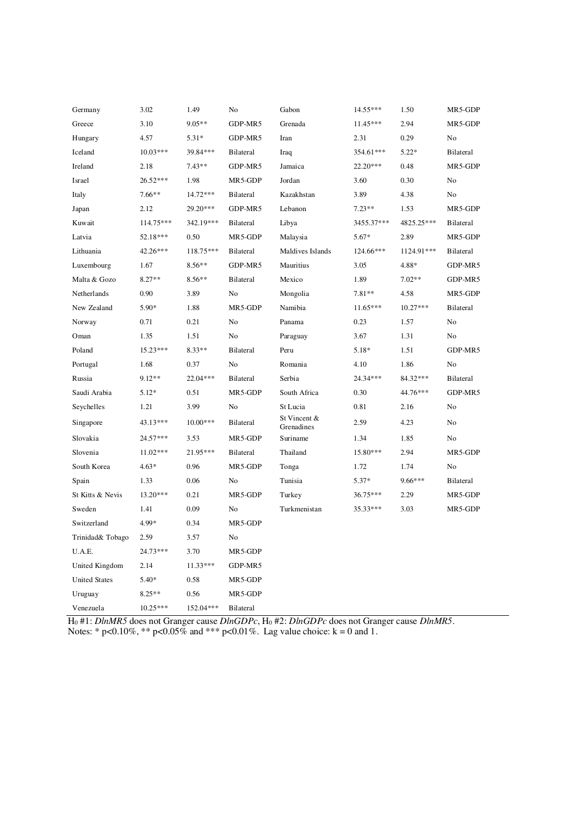| Germany              | 3.02       | 1.49       | No               | Gabon                      | 14.55***   | 1.50       | MR5-GDP        |
|----------------------|------------|------------|------------------|----------------------------|------------|------------|----------------|
| Greece               | 3.10       | $9.05**$   | GDP-MR5          | Grenada                    | $11.45***$ | 2.94       | MR5-GDP        |
| Hungary              | 4.57       | $5.31*$    | GDP-MR5          | Iran                       | 2.31       | 0.29       | No             |
| Iceland              | $10.03***$ | 39.84***   | <b>Bilateral</b> | Iraq                       | 354.61***  | $5.22*$    | Bilateral      |
| Ireland              | 2.18       | $7.43**$   | GDP-MR5          | Jamaica                    | $22.20***$ | 0.48       | MR5-GDP        |
| Israel               | 26.52***   | 1.98       | MR5-GDP          | Jordan                     | 3.60       | 0.30       | No             |
| Italy                | $7.66**$   | 14.72***   | <b>Bilateral</b> | Kazakhstan                 | 3.89       | 4.38       | No             |
| Japan                | 2.12       | 29.20***   | GDP-MR5          | Lebanon                    | $7.23**$   | 1.53       | MR5-GDP        |
| Kuwait               | 114.75***  | 342.19***  | <b>Bilateral</b> | Libya                      | 3455.37*** | 4825.25*** | Bilateral      |
| Latvia               | 52.18***   | 0.50       | MR5-GDP          | Malaysia                   | $5.67*$    | 2.89       | MR5-GDP        |
| Lithuania            | 42.26***   | 118.75***  | <b>Bilateral</b> | Maldives Islands           | 124.66***  | 1124.91*** | Bilateral      |
| Luxembourg           | 1.67       | $8.56**$   | GDP-MR5          | Mauritius                  | 3.05       | 4.88*      | GDP-MR5        |
| Malta & Gozo         | $8.27**$   | $8.56**$   | <b>Bilateral</b> | Mexico                     | 1.89       | $7.02**$   | GDP-MR5        |
| Netherlands          | 0.90       | 3.89       | No               | Mongolia                   | $7.81**$   | 4.58       | MR5-GDP        |
| New Zealand          | $5.90*$    | 1.88       | MR5-GDP          | Namibia                    | $11.65***$ | $10.27***$ | Bilateral      |
| Norway               | 0.71       | 0.21       | No               | Panama                     | 0.23       | 1.57       | N <sub>o</sub> |
| Oman                 | 1.35       | 1.51       | No               | Paraguay                   | 3.67       | 1.31       | No             |
| Poland               | 15.23***   | $8.33**$   | <b>Bilateral</b> | Peru                       | $5.18*$    | 1.51       | GDP-MR5        |
| Portugal             | 1.68       | 0.37       | No               | Romania                    | 4.10       | 1.86       | No             |
| Russia               | $9.12**$   | 22.04***   | <b>Bilateral</b> | Serbia                     | 24.34***   | 84.32***   | Bilateral      |
| Saudi Arabia         | $5.12*$    | 0.51       | MR5-GDP          | South Africa               | 0.30       | 44.76***   | GDP-MR5        |
| Seychelles           | 1.21       | 3.99       | No               | St Lucia                   | 0.81       | 2.16       | No             |
| Singapore            | 43.13***   | $10.00***$ | <b>Bilateral</b> | St Vincent &<br>Grenadines | 2.59       | 4.23       | No             |
| Slovakia             | 24.57***   | 3.53       | MR5-GDP          | Suriname                   | 1.34       | 1.85       | N <sub>o</sub> |
| Slovenia             | 11.02***   | 21.95***   | <b>Bilateral</b> | Thailand                   | 15.80***   | 2.94       | MR5-GDP        |
| South Korea          | $4.63*$    | 0.96       | MR5-GDP          | Tonga                      | 1.72       | 1.74       | No             |
| Spain                | 1.33       | 0.06       | No               | Tunisia                    | $5.37*$    | 9.66***    | Bilateral      |
| St Kitts & Nevis     | $13.20***$ | 0.21       | MR5-GDP          | Turkey                     | 36.75***   | 2.29       | MR5-GDP        |
| Sweden               | 1.41       | 0.09       | No               | Turkmenistan               | 35.33***   | 3.03       | MR5-GDP        |
| Switzerland          | 4.99*      | 0.34       | MR5-GDP          |                            |            |            |                |
| Trinidad& Tobago     | 2.59       | 3.57       | No               |                            |            |            |                |
| U.A.E.               | 24.73***   | 3.70       | MR5-GDP          |                            |            |            |                |
| United Kingdom       | 2.14       | $11.33***$ | GDP-MR5          |                            |            |            |                |
| <b>United States</b> | $5.40*$    | 0.58       | MR5-GDP          |                            |            |            |                |
| Uruguay              | $8.25**$   | 0.56       | MR5-GDP          |                            |            |            |                |
| Venezuela            | $10.25***$ | 152.04***  | Bilateral        |                            |            |            |                |

H0 #1: *DlnMR5* does not Granger cause *DlnGDPc*, H0 #2: *DlnGDPc* does not Granger cause *DlnMR5*. Notes: \* p<0.10%, \*\* p<0.05% and \*\*\* p<0.01%. Lag value choice:  $k = 0$  and 1.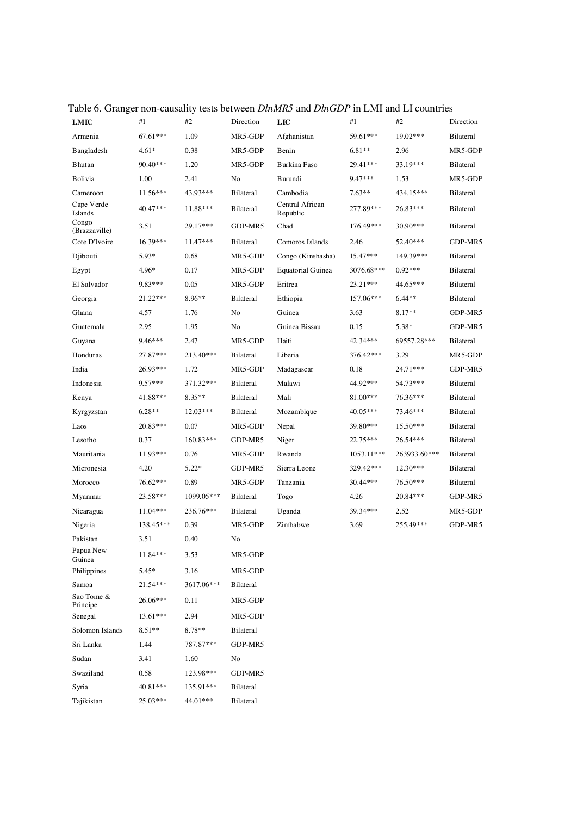| LMIC                   | #1         | #2          | Direction | LIC                         | #1         | #2           | Direction        |
|------------------------|------------|-------------|-----------|-----------------------------|------------|--------------|------------------|
| Armenia                | 67.61***   | 1.09        | MR5-GDP   | Afghanistan                 | 59.61***   | 19.02***     | <b>Bilateral</b> |
| Bangladesh             | $4.61*$    | 0.38        | MR5-GDP   | Benin                       | $6.81**$   | 2.96         | MR5-GDP          |
| Bhutan                 | 90.40***   | 1.20        | MR5-GDP   | Burkina Faso                | 29.41***   | 33.19***     | <b>Bilateral</b> |
| Bolivia                | 1.00       | 2.41        | No        | Burundi                     | $9.47***$  | 1.53         | MR5-GDP          |
| Cameroon               | $11.56***$ | 43.93***    | Bilateral | Cambodia                    | $7.63**$   | 434.15***    | <b>Bilateral</b> |
| Cape Verde<br>Islands  | 40.47***   | 11.88***    | Bilateral | Central African<br>Republic | 277.89***  | 26.83***     | <b>Bilateral</b> |
| Congo<br>(Brazzaville) | 3.51       | 29.17***    | GDP-MR5   | Chad                        | 176.49***  | 30.90***     | <b>Bilateral</b> |
| Cote D'Ivoire          | 16.39***   | $11.47***$  | Bilateral | Comoros Islands             | 2.46       | 52.40***     | GDP-MR5          |
| Djibouti               | 5.93*      | 0.68        | MR5-GDP   | Congo (Kinshasha)           | 15.47***   | 149.39***    | <b>Bilateral</b> |
| Egypt                  | 4.96*      | 0.17        | MR5-GDP   | <b>Equatorial Guinea</b>    | 3076.68*** | $0.92***$    | <b>Bilateral</b> |
| El Salvador            | $9.83***$  | 0.05        | MR5-GDP   | Eritrea                     | $23.21***$ | 44.65***     | <b>Bilateral</b> |
| Georgia                | 21.22***   | 8.96**      | Bilateral | Ethiopia                    | 157.06***  | $6.44**$     | <b>Bilateral</b> |
| Ghana                  | 4.57       | 1.76        | No        | Guinea                      | 3.63       | $8.17**$     | GDP-MR5          |
| Guatemala              | 2.95       | 1.95        | No        | Guinea Bissau               | 0.15       | $5.38*$      | GDP-MR5          |
| Guyana                 | $9.46***$  | 2.47        | MR5-GDP   | Haiti                       | 42.34***   | 69557.28***  | <b>Bilateral</b> |
| Honduras               | 27.87***   | 213.40***   | Bilateral | Liberia                     | 376.42***  | 3.29         | MR5-GDP          |
| India                  | 26.93***   | 1.72        | MR5-GDP   | Madagascar                  | 0.18       | 24.71***     | GDP-MR5          |
| Indonesia              | $9.57***$  | 371.32***   | Bilateral | Malawi                      | 44.92***   | 54.73***     | <b>Bilateral</b> |
| Kenya                  | 41.88***   | $8.35**$    | Bilateral | Mali                        | 81.00***   | 76.36***     | <b>Bilateral</b> |
| Kyrgyzstan             | $6.28**$   | $12.03***$  | Bilateral | Mozambique                  | 40.05***   | 73.46***     | <b>Bilateral</b> |
| Laos                   | 20.83***   | 0.07        | MR5-GDP   | Nepal                       | 39.80***   | $15.50***$   | <b>Bilateral</b> |
| Lesotho                | 0.37       | $160.83***$ | GDP-MR5   | Niger                       | 22.75***   | 26.54***     | <b>Bilateral</b> |
| Mauritania             | 11.93***   | 0.76        | MR5-GDP   | Rwanda                      | 1053.11*** | 263933.60*** | <b>Bilateral</b> |
| Micronesia             | 4.20       | $5.22*$     | GDP-MR5   | Sierra Leone                | 329.42***  | $12.30***$   | <b>Bilateral</b> |
| Morocco                | 76.62***   | 0.89        | MR5-GDP   | Tanzania                    | 30.44***   | 76.50***     | <b>Bilateral</b> |
| Myanmar                | $23.58***$ | 1099.05***  | Bilateral | Togo                        | 4.26       | 20.84***     | GDP-MR5          |
| Nicaragua              | $11.04***$ | 236.76***   | Bilateral | Uganda                      | 39.34***   | 2.52         | MR5-GDP          |
| Nigeria                | 138.45***  | 0.39        | MR5-GDP   | Zimbabwe                    | 3.69       | 255.49***    | GDP-MR5          |
| Pakistan               | 3.51       | 0.40        | No        |                             |            |              |                  |
| Papua New<br>Guinea    | 11.84***   | 3.53        | MR5-GDP   |                             |            |              |                  |
| Philippines            | $5.45*$    | 3.16        | MR5-GDP   |                             |            |              |                  |
| Samoa                  | 21.54***   | 3617.06***  | Bilateral |                             |            |              |                  |
| Sao Tome &<br>Principe | 26.06***   | 0.11        | MR5-GDP   |                             |            |              |                  |
| Senegal                | 13.61***   | 2.94        | MR5-GDP   |                             |            |              |                  |
| Solomon Islands        | $8.51**$   | 8.78**      | Bilateral |                             |            |              |                  |
| Sri Lanka              | 1.44       | 787.87***   | GDP-MR5   |                             |            |              |                  |
| Sudan                  | 3.41       | 1.60        | No        |                             |            |              |                  |
| Swaziland              | 0.58       | 123.98***   | GDP-MR5   |                             |            |              |                  |
| Syria                  | 40.81***   | 135.91***   | Bilateral |                             |            |              |                  |
| Tajikistan             | 25.03***   | 44.01***    | Bilateral |                             |            |              |                  |

Table 6. Granger non-causality tests between *DlnMR5* and *DlnGDP* in LMI and LI countries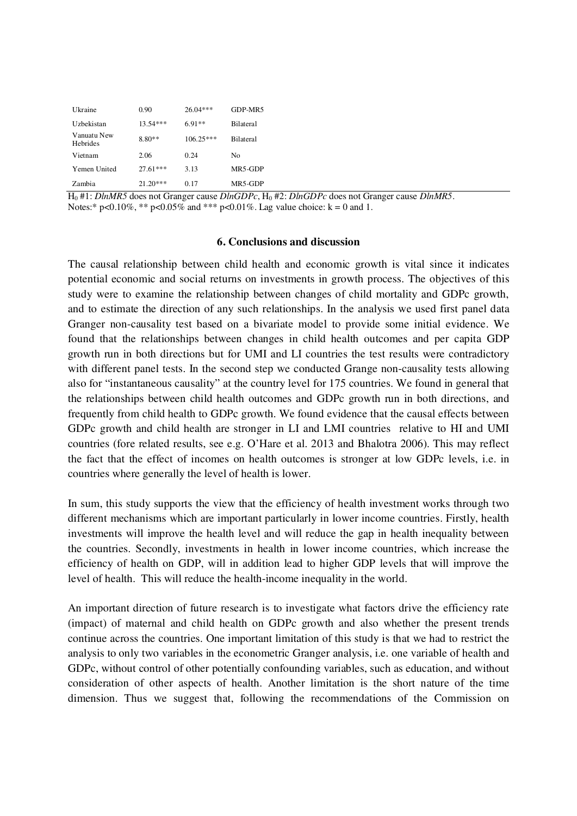| Ukraine                 | 0.90       | $26.04***$  | GDP-MR5          |
|-------------------------|------------|-------------|------------------|
| Uzbekistan              | $13.54***$ | $6.91**$    | Bilateral        |
| Vanuatu New<br>Hebrides | $8.80**$   | $106.25***$ | <b>Bilateral</b> |
| Vietnam                 | 2.06       | 0.24        | No               |
| Yemen United            | $27.61***$ | 3.13        | MR5-GDP          |
| Zambia                  | $21.20***$ | 0.17        | MR5-GDP          |

H0 #1: *DlnMR5* does not Granger cause *DlnGDPc*, H0 #2: *DlnGDPc* does not Granger cause *DlnMR5*. Notes:\* p<0.10%, \*\* p<0.05% and \*\*\* p<0.01%. Lag value choice: k = 0 and 1.

#### **6. Conclusions and discussion**

The causal relationship between child health and economic growth is vital since it indicates potential economic and social returns on investments in growth process. The objectives of this study were to examine the relationship between changes of child mortality and GDPc growth, and to estimate the direction of any such relationships. In the analysis we used first panel data Granger non-causality test based on a bivariate model to provide some initial evidence. We found that the relationships between changes in child health outcomes and per capita GDP growth run in both directions but for UMI and LI countries the test results were contradictory with different panel tests. In the second step we conducted Grange non-causality tests allowing also for "instantaneous causality" at the country level for 175 countries. We found in general that the relationships between child health outcomes and GDPc growth run in both directions, and frequently from child health to GDPc growth. We found evidence that the causal effects between GDPc growth and child health are stronger in LI and LMI countries relative to HI and UMI countries (fore related results, see e.g. O'Hare et al. 2013 and Bhalotra 2006). This may reflect the fact that the effect of incomes on health outcomes is stronger at low GDPc levels, i.e. in countries where generally the level of health is lower.

In sum, this study supports the view that the efficiency of health investment works through two different mechanisms which are important particularly in lower income countries. Firstly, health investments will improve the health level and will reduce the gap in health inequality between the countries. Secondly, investments in health in lower income countries, which increase the efficiency of health on GDP, will in addition lead to higher GDP levels that will improve the level of health. This will reduce the health-income inequality in the world.

An important direction of future research is to investigate what factors drive the efficiency rate (impact) of maternal and child health on GDPc growth and also whether the present trends continue across the countries. One important limitation of this study is that we had to restrict the analysis to only two variables in the econometric Granger analysis, i.e. one variable of health and GDPc, without control of other potentially confounding variables, such as education, and without consideration of other aspects of health. Another limitation is the short nature of the time dimension. Thus we suggest that, following the recommendations of the Commission on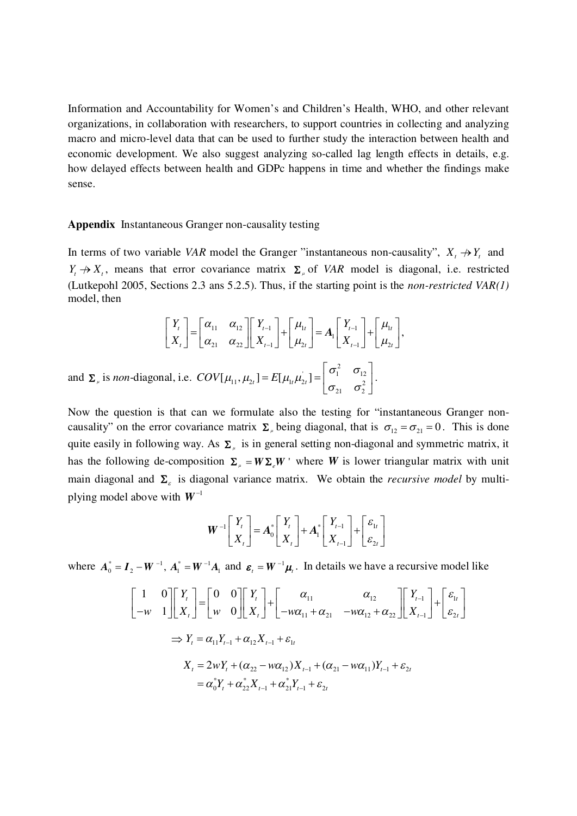Information and Accountability for Women's and Children's Health, WHO, and other relevant organizations, in collaboration with researchers, to support countries in collecting and analyzing macro and micro-level data that can be used to further study the interaction between health and economic development. We also suggest analyzing so-called lag length effects in details, e.g. how delayed effects between health and GDPc happens in time and whether the findings make sense.

#### **Appendix** Instantaneous Granger non-causality testing

In terms of two variable *VAR* model the Granger "instantaneous non-causality",  $X_t \rightarrow Y_t$  and  $Y_t \nightharpoonup X_t$ , means that error covariance matrix  $\Sigma_{\mu}$  of *VAR* model is diagonal, i.e. restricted (Lutkepohl 2005, Sections 2.3 ans 5.2.5). Thus, if the starting point is the *non-restricted VAR(1)* model, then

$$
\begin{bmatrix} Y_t \\ X_t \end{bmatrix} = \begin{bmatrix} \alpha_{11} & \alpha_{12} \\ \alpha_{21} & \alpha_{22} \end{bmatrix} \begin{bmatrix} Y_{t-1} \\ X_{t-1} \end{bmatrix} + \begin{bmatrix} \mu_{1t} \\ \mu_{2t} \end{bmatrix} = A_1 \begin{bmatrix} Y_{t-1} \\ X_{t-1} \end{bmatrix} + \begin{bmatrix} \mu_{1t} \\ \mu_{2t} \end{bmatrix},
$$
  
and  $\Sigma_{\mu}$  is *non*-diagonal, i.e.  $COV[\mu_{11}, \mu_{2t}] = E[\mu_{1t} \mu_{2t}] = \begin{bmatrix} \sigma_1^2 & \sigma_{12} \\ \sigma_{21} & \sigma_2^2 \end{bmatrix}.$ 

Now the question is that can we formulate also the testing for "instantaneous Granger noncausality" on the error covariance matrix  $\Sigma_{\mu}$  being diagonal, that is  $\sigma_{12} = \sigma_{21} = 0$ . This is done quite easily in following way. As  $\Sigma_{\mu}$  is in general setting non-diagonal and symmetric matrix, it has the following de-composition  $\Sigma_{\mu} = W \Sigma_{\rho} W$  where *W* is lower triangular matrix with unit main diagonal and  $\Sigma<sub>\epsilon</sub>$  is diagonal variance matrix. We obtain the *recursive model* by multiplying model above with  $W^{-1}$ 

$$
\boldsymbol{W}^{-1} \begin{bmatrix} Y_t \\ X_t \end{bmatrix} = \boldsymbol{A}_0^* \begin{bmatrix} Y_t \\ X_t \end{bmatrix} + \boldsymbol{A}_1^* \begin{bmatrix} Y_{t-1} \\ X_{t-1} \end{bmatrix} + \begin{bmatrix} \boldsymbol{\varepsilon}_{1t} \\ \boldsymbol{\varepsilon}_{2t} \end{bmatrix}
$$

where  $A_0^* = I_2 - W^{-1}$ ,  $A_1^* = W^{-1}A_1$  and  $\varepsilon_t = W^{-1}\mu_t$  $\boldsymbol{\varepsilon}$ , =  $\boldsymbol{W}^{-1}\boldsymbol{\mu}$ . In details we have a recursive model like

$$
\begin{bmatrix} 1 & 0 \ -w & 1 \end{bmatrix} \begin{bmatrix} Y_t \\ X_t \end{bmatrix} = \begin{bmatrix} 0 & 0 \ w & 0 \end{bmatrix} \begin{bmatrix} Y_t \\ X_t \end{bmatrix} + \begin{bmatrix} \alpha_{11} & \alpha_{12} \\ -w\alpha_{11} + \alpha_{21} & -w\alpha_{12} + \alpha_{22} \end{bmatrix} \begin{bmatrix} Y_{t-1} \\ X_{t-1} \end{bmatrix} + \begin{bmatrix} \varepsilon_{1t} \\ \varepsilon_{2t} \end{bmatrix}
$$
  
\n
$$
\Rightarrow Y_t = \alpha_{11} Y_{t-1} + \alpha_{12} X_{t-1} + \varepsilon_{1t}
$$
  
\n
$$
X_t = 2wY_t + (\alpha_{22} - w\alpha_{12})X_{t-1} + (\alpha_{21} - w\alpha_{11})Y_{t-1} + \varepsilon_{2t}
$$
  
\n
$$
= \alpha_0^* Y_t + \alpha_{22}^* X_{t-1} + \alpha_{21}^* Y_{t-1} + \varepsilon_{2t}
$$